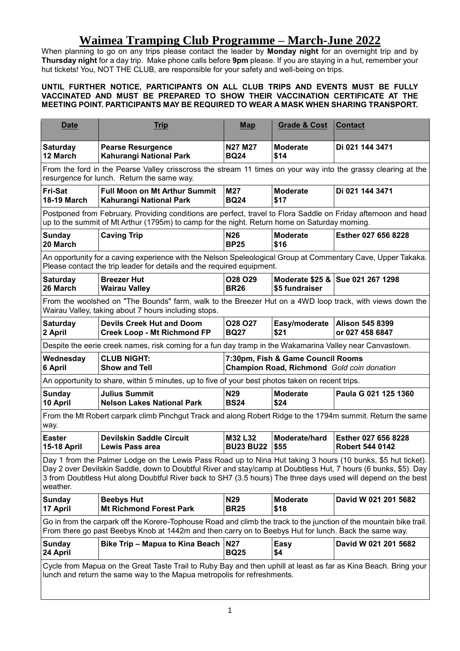## **Waimea Tramping Club Programme – March-June 2022**

When planning to go on any trips please contact the leader by **Monday night** for an overnight trip and by **Thursday night** for a day trip. Make phone calls before **9pm** please. If you are staying in a hut, remember your hut tickets! You, NOT THE CLUB, are responsible for your safety and well-being on trips.

## **UNTIL FURTHER NOTICE, PARTICIPANTS ON ALL CLUB TRIPS AND EVENTS MUST BE FULLY VACCINATED AND MUST BE PREPARED TO SHOW THEIR VACCINATION CERTIFICATE AT THE MEETING POINT. PARTICIPANTS MAY BE REQUIRED TO WEAR A MASK WHEN SHARING TRANSPORT.**

| <b>Date</b>                                                                                                                                                                                                                                                                                                                                                  | <b>Trip</b>                                                            | <b>Map</b>                                                                      | <b>Grade &amp; Cost</b> | <b>Contact</b>                                |  |  |
|--------------------------------------------------------------------------------------------------------------------------------------------------------------------------------------------------------------------------------------------------------------------------------------------------------------------------------------------------------------|------------------------------------------------------------------------|---------------------------------------------------------------------------------|-------------------------|-----------------------------------------------|--|--|
| <b>Saturday</b><br>12 March                                                                                                                                                                                                                                                                                                                                  | <b>Pearse Resurgence</b><br>Kahurangi National Park                    | <b>N27 M27</b><br><b>BQ24</b>                                                   | <b>Moderate</b><br>\$14 | Di 021 144 3471                               |  |  |
| From the ford in the Pearse Valley crisscross the stream 11 times on your way into the grassy clearing at the<br>resurgence for lunch. Return the same way.                                                                                                                                                                                                  |                                                                        |                                                                                 |                         |                                               |  |  |
| Fri-Sat<br><b>18-19 March</b>                                                                                                                                                                                                                                                                                                                                | <b>Full Moon on Mt Arthur Summit</b><br>Kahurangi National Park        | M27<br><b>BQ24</b>                                                              | <b>Moderate</b><br>\$17 | Di 021 144 3471                               |  |  |
| Postponed from February. Providing conditions are perfect, travel to Flora Saddle on Friday afternoon and head<br>up to the summit of Mt Arthur (1795m) to camp for the night. Return home on Saturday morning.                                                                                                                                              |                                                                        |                                                                                 |                         |                                               |  |  |
| Sunday<br>20 March                                                                                                                                                                                                                                                                                                                                           | <b>Caving Trip</b>                                                     | N <sub>26</sub><br><b>BP25</b>                                                  | <b>Moderate</b><br>\$16 | Esther 027 656 8228                           |  |  |
| An opportunity for a caving experience with the Nelson Speleological Group at Commentary Cave, Upper Takaka.<br>Please contact the trip leader for details and the required equipment.                                                                                                                                                                       |                                                                        |                                                                                 |                         |                                               |  |  |
| <b>Saturday</b><br>26 March                                                                                                                                                                                                                                                                                                                                  | <b>Breezer Hut</b><br><b>Wairau Valley</b>                             | O28 O29<br><b>BR26</b>                                                          | \$5 fundraiser          | Moderate \$25 & Sue 021 267 1298              |  |  |
| From the woolshed on "The Bounds" farm, walk to the Breezer Hut on a 4WD loop track, with views down the<br>Wairau Valley, taking about 7 hours including stops.                                                                                                                                                                                             |                                                                        |                                                                                 |                         |                                               |  |  |
| <b>Saturday</b><br>2 April                                                                                                                                                                                                                                                                                                                                   | <b>Devils Creek Hut and Doom</b><br><b>Creek Loop - Mt Richmond FP</b> | <b>028 027</b><br><b>BQ27</b>                                                   | Easy/moderate<br>\$21   | <b>Alison 545 8399</b><br>or 027 458 6847     |  |  |
| Despite the eerie creek names, risk coming for a fun day tramp in the Wakamarina Valley near Canvastown.                                                                                                                                                                                                                                                     |                                                                        |                                                                                 |                         |                                               |  |  |
| Wednesday<br>6 April                                                                                                                                                                                                                                                                                                                                         | <b>CLUB NIGHT:</b><br><b>Show and Tell</b>                             | 7:30pm, Fish & Game Council Rooms<br>Champion Road, Richmond Gold coin donation |                         |                                               |  |  |
| An opportunity to share, within 5 minutes, up to five of your best photos taken on recent trips.                                                                                                                                                                                                                                                             |                                                                        |                                                                                 |                         |                                               |  |  |
| Sunday<br>10 April                                                                                                                                                                                                                                                                                                                                           | <b>Julius Summit</b><br><b>Nelson Lakes National Park</b>              | N <sub>29</sub><br><b>BS24</b>                                                  | <b>Moderate</b><br>\$24 | Paula G 021 125 1360                          |  |  |
| From the Mt Robert carpark climb Pinchgut Track and along Robert Ridge to the 1794m summit. Return the same<br>way.                                                                                                                                                                                                                                          |                                                                        |                                                                                 |                         |                                               |  |  |
| <b>Easter</b><br><b>15-18 April</b>                                                                                                                                                                                                                                                                                                                          | <b>Devilskin Saddle Circuit</b><br><b>Lewis Pass area</b>              | M32 L32<br><b>BU23 BU22</b>                                                     | Moderate/hard<br>\$55   | Esther 027 656 8228<br><b>Robert 544 0142</b> |  |  |
| Day 1 from the Palmer Lodge on the Lewis Pass Road up to Nina Hut taking 3 hours (10 bunks, \$5 hut ticket).<br>Day 2 over Devilskin Saddle, down to Doubtful River and stay/camp at Doubtless Hut, 7 hours (6 bunks, \$5). Day<br>3 from Doubtless Hut along Doubtful River back to SH7 (3.5 hours) The three days used will depend on the best<br>weather. |                                                                        |                                                                                 |                         |                                               |  |  |
| Sunday<br>17 April                                                                                                                                                                                                                                                                                                                                           | <b>Beebys Hut</b><br><b>Mt Richmond Forest Park</b>                    | N <sub>29</sub><br><b>BR25</b>                                                  | <b>Moderate</b><br>\$18 | David W 021 201 5682                          |  |  |
| Go in from the carpark off the Korere-Tophouse Road and climb the track to the junction of the mountain bike trail.<br>From there go past Beebys Knob at 1442m and then carry on to Beebys Hut for lunch. Back the same way.                                                                                                                                 |                                                                        |                                                                                 |                         |                                               |  |  |
| <b>Sunday</b><br>24 April                                                                                                                                                                                                                                                                                                                                    | Bike Trip - Mapua to Kina Beach                                        | N <sub>27</sub><br><b>BQ25</b>                                                  | Easy<br>\$4             | David W 021 201 5682                          |  |  |
| Cycle from Mapua on the Great Taste Trail to Ruby Bay and then uphill at least as far as Kina Beach. Bring your<br>lunch and return the same way to the Mapua metropolis for refreshments.                                                                                                                                                                   |                                                                        |                                                                                 |                         |                                               |  |  |